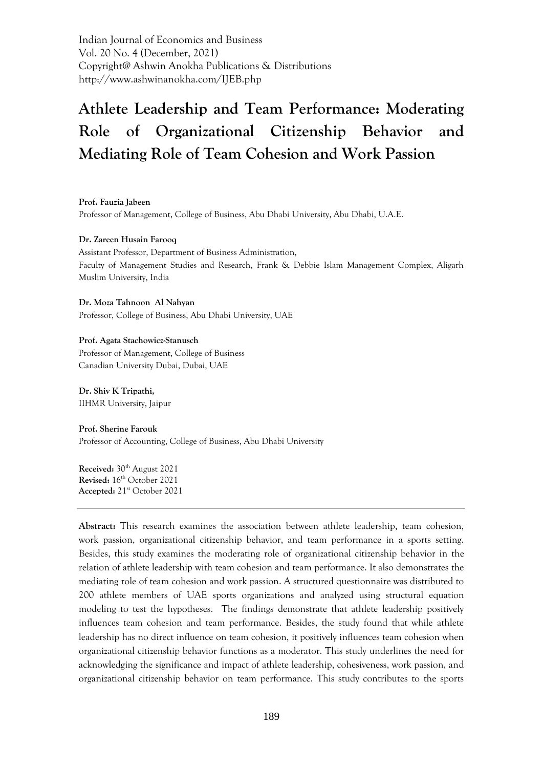Indian Journal of Economics and Business Vol. 20 No. 4 (December, 2021) Copyright@ Ashwin Anokha Publications & Distributions http://www.ashwinanokha.com/IJEB.php

# **Athlete Leadership and Team Performance: Moderating Role of Organizational Citizenship Behavior and Mediating Role of Team Cohesion and Work Passion**

**Prof. Fauzia Jabeen** Professor of Management, College of Business, Abu Dhabi University, Abu Dhabi, U.A.E.

#### **Dr. Zareen Husain Farooq**

Assistant Professor, Department of Business Administration, Faculty of Management Studies and Research, Frank & Debbie Islam Management Complex, Aligarh Muslim University, India

**Dr. Moza Tahnoon Al Nahyan** Professor, College of Business, Abu Dhabi University, UAE

#### **Prof. Agata Stachowicz-Stanusch**

Professor of Management, College of Business Canadian University Dubai, Dubai, UAE

**Dr. Shiv K Tripathi,**  IIHMR University, Jaipur

**Prof. Sherine Farouk** Professor of Accounting, College of Business, Abu Dhabi University

**Received:** 30<sup>th</sup> August 2021 Revised: 16<sup>th</sup> October 2021 **Accepted:** 21st October 2021

**Abstract:** This research examines the association between athlete leadership, team cohesion, work passion, organizational citizenship behavior, and team performance in a sports setting. Besides, this study examines the moderating role of organizational citizenship behavior in the relation of athlete leadership with team cohesion and team performance. It also demonstrates the mediating role of team cohesion and work passion. A structured questionnaire was distributed to 200 athlete members of UAE sports organizations and analyzed using structural equation modeling to test the hypotheses. The findings demonstrate that athlete leadership positively influences team cohesion and team performance. Besides, the study found that while athlete leadership has no direct influence on team cohesion, it positively influences team cohesion when organizational citizenship behavior functions as a moderator. This study underlines the need for acknowledging the significance and impact of athlete leadership, cohesiveness, work passion, and organizational citizenship behavior on team performance. This study contributes to the sports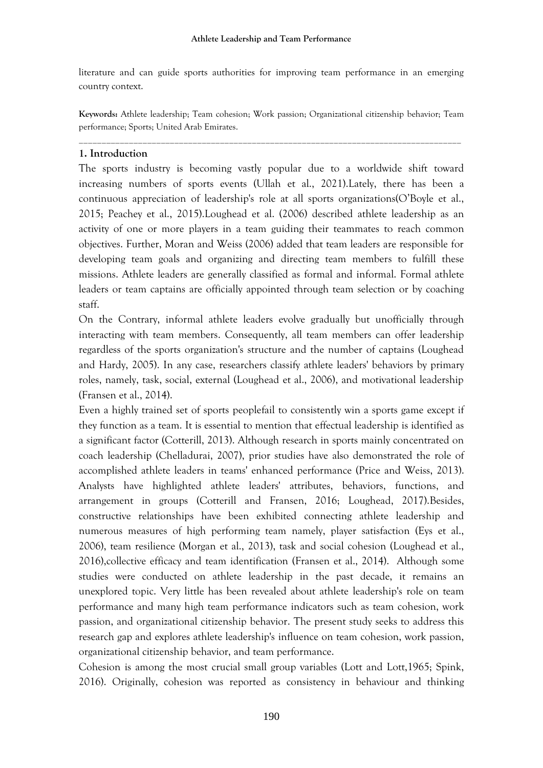literature and can guide sports authorities for improving team performance in an emerging country context.

**Keywords:** Athlete leadership; Team cohesion; Work passion; Organizational citizenship behavior; Team performance; Sports; United Arab Emirates.

\_\_\_\_\_\_\_\_\_\_\_\_\_\_\_\_\_\_\_\_\_\_\_\_\_\_\_\_\_\_\_\_\_\_\_\_\_\_\_\_\_\_\_\_\_\_\_\_\_\_\_\_\_\_\_\_\_\_\_\_\_\_\_\_\_\_\_\_\_\_\_\_\_\_\_\_\_\_\_\_\_\_\_\_

## **1. Introduction**

The sports industry is becoming vastly popular due to a worldwide shift toward increasing numbers of sports events (Ullah et al., 2021).Lately, there has been a continuous appreciation of leadership's role at all sports organizations(O'Boyle et al., 2015; Peachey et al., 2015).Loughead et al. (2006) described athlete leadership as an activity of one or more players in a team guiding their teammates to reach common objectives. Further, Moran and Weiss (2006) added that team leaders are responsible for developing team goals and organizing and directing team members to fulfill these missions. Athlete leaders are generally classified as formal and informal. Formal athlete leaders or team captains are officially appointed through team selection or by coaching staff.

On the Contrary, informal athlete leaders evolve gradually but unofficially through interacting with team members. Consequently, all team members can offer leadership regardless of the sports organization's structure and the number of captains (Loughead and Hardy, 2005). In any case, researchers classify athlete leaders' behaviors by primary roles, namely, task, social, external (Loughead et al., 2006), and motivational leadership (Fransen et al., 2014).

Even a highly trained set of sports peoplefail to consistently win a sports game except if they function as a team. It is essential to mention that effectual leadership is identified as a significant factor (Cotterill, 2013). Although research in sports mainly concentrated on coach leadership (Chelladurai, 2007), prior studies have also demonstrated the role of accomplished athlete leaders in teams' enhanced performance (Price and Weiss, 2013). Analysts have highlighted athlete leaders' attributes, behaviors, functions, and arrangement in groups (Cotterill and Fransen, 2016; Loughead, 2017).Besides, constructive relationships have been exhibited connecting athlete leadership and numerous measures of high performing team namely, player satisfaction (Eys et al., 2006), team resilience (Morgan et al., 2013), task and social cohesion (Loughead et al., 2016),collective efficacy and team identification (Fransen et al., 2014). Although some studies were conducted on athlete leadership in the past decade, it remains an unexplored topic. Very little has been revealed about athlete leadership's role on team performance and many high team performance indicators such as team cohesion, work passion, and organizational citizenship behavior. The present study seeks to address this research gap and explores athlete leadership's influence on team cohesion, work passion, organizational citizenship behavior, and team performance.

Cohesion is among the most crucial small group variables (Lott and Lott,1965; Spink, 2016). Originally, cohesion was reported as consistency in behaviour and thinking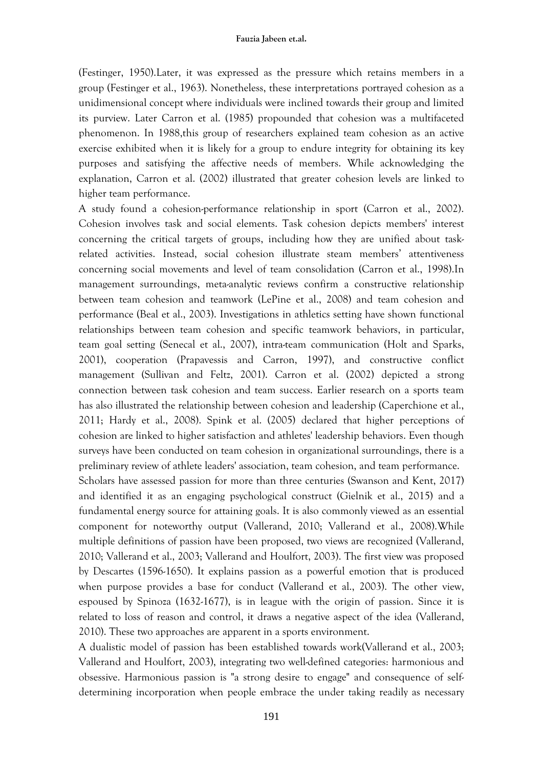(Festinger, 1950).Later, it was expressed as the pressure which retains members in a group (Festinger et al., 1963). Nonetheless, these interpretations portrayed cohesion as a unidimensional concept where individuals were inclined towards their group and limited its purview. Later Carron et al. (1985) propounded that cohesion was a multifaceted phenomenon. In 1988,this group of researchers explained team cohesion as an active exercise exhibited when it is likely for a group to endure integrity for obtaining its key purposes and satisfying the affective needs of members. While acknowledging the explanation, Carron et al. (2002) illustrated that greater cohesion levels are linked to higher team performance.

A study found a cohesion-performance relationship in sport (Carron et al., 2002). Cohesion involves task and social elements. Task cohesion depicts members' interest concerning the critical targets of groups, including how they are unified about taskrelated activities. Instead, social cohesion illustrate steam members' attentiveness concerning social movements and level of team consolidation (Carron et al., 1998).In management surroundings, meta-analytic reviews confirm a constructive relationship between team cohesion and teamwork (LePine et al., 2008) and team cohesion and performance (Beal et al., 2003). Investigations in athletics setting have shown functional relationships between team cohesion and specific teamwork behaviors, in particular, team goal setting (Senecal et al., 2007), intra-team communication (Holt and Sparks, 2001), cooperation (Prapavessis and Carron, 1997), and constructive conflict management (Sullivan and Feltz, 2001). Carron et al. (2002) depicted a strong connection between task cohesion and team success. Earlier research on a sports team has also illustrated the relationship between cohesion and leadership (Caperchione et al., 2011; Hardy et al., 2008). Spink et al. (2005) declared that higher perceptions of cohesion are linked to higher satisfaction and athletes' leadership behaviors. Even though surveys have been conducted on team cohesion in organizational surroundings, there is a preliminary review of athlete leaders' association, team cohesion, and team performance. Scholars have assessed passion for more than three centuries (Swanson and Kent, 2017) and identified it as an engaging psychological construct (Gielnik et al., 2015) and a fundamental energy source for attaining goals. It is also commonly viewed as an essential component for noteworthy output (Vallerand, 2010; Vallerand et al., 2008).While multiple definitions of passion have been proposed, two views are recognized (Vallerand, 2010; Vallerand et al., 2003; Vallerand and Houlfort, 2003). The first view was proposed by Descartes (1596-1650). It explains passion as a powerful emotion that is produced when purpose provides a base for conduct (Vallerand et al., 2003). The other view, espoused by Spinoza (1632-1677), is in league with the origin of passion. Since it is related to loss of reason and control, it draws a negative aspect of the idea (Vallerand,

A dualistic model of passion has been established towards work(Vallerand et al., 2003; Vallerand and Houlfort, 2003), integrating two well-defined categories: harmonious and obsessive. Harmonious passion is "a strong desire to engage" and consequence of selfdetermining incorporation when people embrace the under taking readily as necessary

2010). These two approaches are apparent in a sports environment.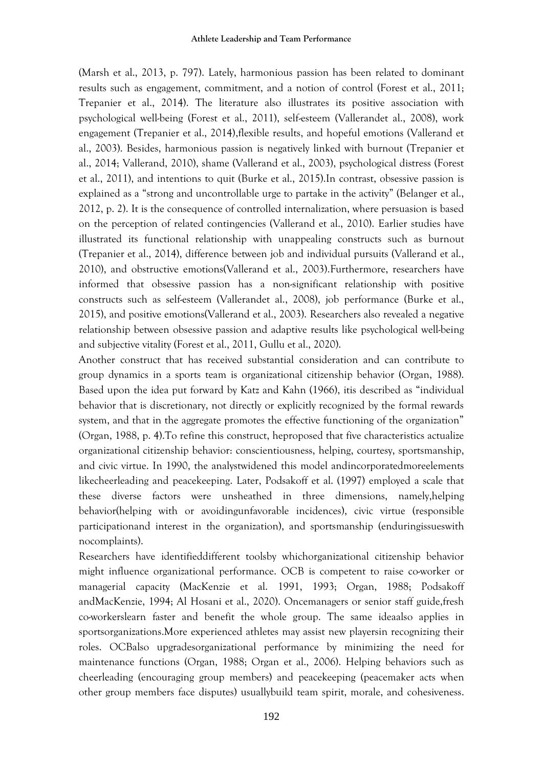(Marsh et al., 2013, p. 797). Lately, harmonious passion has been related to dominant results such as engagement, commitment, and a notion of control (Forest et al., 2011; Trepanier et al., 2014). The literature also illustrates its positive association with psychological well-being (Forest et al., 2011), self-esteem (Vallerandet al., 2008), work engagement (Trepanier et al., 2014),flexible results, and hopeful emotions (Vallerand et al., 2003). Besides, harmonious passion is negatively linked with burnout (Trepanier et al., 2014; Vallerand, 2010), shame (Vallerand et al., 2003), psychological distress (Forest et al., 2011), and intentions to quit (Burke et al., 2015).In contrast, obsessive passion is explained as a "strong and uncontrollable urge to partake in the activity" (Belanger et al., 2012, p. 2). It is the consequence of controlled internalization, where persuasion is based on the perception of related contingencies (Vallerand et al., 2010). Earlier studies have illustrated its functional relationship with unappealing constructs such as burnout (Trepanier et al., 2014), difference between job and individual pursuits (Vallerand et al., 2010), and obstructive emotions(Vallerand et al., 2003).Furthermore, researchers have informed that obsessive passion has a non-significant relationship with positive constructs such as self-esteem (Vallerandet al., 2008), job performance (Burke et al., 2015), and positive emotions(Vallerand et al., 2003). Researchers also revealed a negative relationship between obsessive passion and adaptive results like psychological well-being and subjective vitality (Forest et al., 2011, Gullu et al., 2020).

Another construct that has received substantial consideration and can contribute to group dynamics in a sports team is organizational citizenship behavior (Organ, 1988). Based upon the idea put forward by Katz and Kahn (1966), itis described as "individual behavior that is discretionary, not directly or explicitly recognized by the formal rewards system, and that in the aggregate promotes the effective functioning of the organization" (Organ, 1988, p. 4).To refine this construct, heproposed that five characteristics actualize organizational citizenship behavior: conscientiousness, helping, courtesy, sportsmanship, and civic virtue. In 1990, the analystwidened this model andincorporatedmoreelements likecheerleading and peacekeeping. Later, Podsakoff et al. (1997) employed a scale that these diverse factors were unsheathed in three dimensions, namely,helping behavior(helping with or avoidingunfavorable incidences), civic virtue (responsible participationand interest in the organization), and sportsmanship (enduringissueswith nocomplaints).

Researchers have identifieddifferent toolsby whichorganizational citizenship behavior might influence organizational performance. OCB is competent to raise co-worker or managerial capacity (MacKenzie et al. 1991, 1993; Organ, 1988; Podsakoff andMacKenzie, 1994; Al Hosani et al., 2020). Oncemanagers or senior staff guide,fresh co-workerslearn faster and benefit the whole group. The same ideaalso applies in sportsorganizations.More experienced athletes may assist new playersin recognizing their roles. OCBalso upgradesorganizational performance by minimizing the need for maintenance functions (Organ, 1988; Organ et al., 2006). Helping behaviors such as cheerleading (encouraging group members) and peacekeeping (peacemaker acts when other group members face disputes) usuallybuild team spirit, morale, and cohesiveness.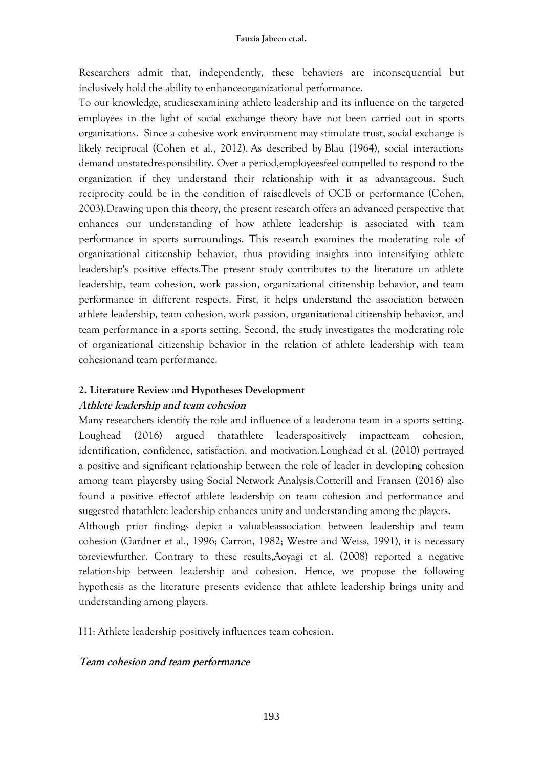Researchers admit that, independently, these behaviors are inconsequential but inclusively hold the ability to enhanceorganizational performance.

To our knowledge, studiesexamining athlete leadership and its influence on the targeted employees in the light of social exchange theory have not been carried out in sports organizations. Since a cohesive work environment may stimulate trust, social exchange is likely reciprocal (Cohen et al., 2012). As described by [Blau \(1964\),](https://www.emerald.com/insight/content/doi/10.1108/00483481211263638/full/html?casa_token=jaAILov-4I0AAAAA:dN8RtYfGFlD_doJCNNKJLa-Ou0FU84HDLecYzSfipdI3YLhHbe1MRqlh_mZyHawy_JzIDzArWv8gv1WqKj_ThoJCGN8doWLkwOEHnGmVPwfh9y-bsSc#b6) social interactions demand unstatedresponsibility. Over a period,employeesfeel compelled to respond to the organization if they understand their relationship with it as advantageous. Such reciprocity could be in the condition of raisedlevels of OCB or performance [\(Cohen,](https://www.emerald.com/insight/content/doi/10.1108/00483481211263638/full/html?casa_token=jaAILov-4I0AAAAA:dN8RtYfGFlD_doJCNNKJLa-Ou0FU84HDLecYzSfipdI3YLhHbe1MRqlh_mZyHawy_JzIDzArWv8gv1WqKj_ThoJCGN8doWLkwOEHnGmVPwfh9y-bsSc#b12)  [2003\)](https://www.emerald.com/insight/content/doi/10.1108/00483481211263638/full/html?casa_token=jaAILov-4I0AAAAA:dN8RtYfGFlD_doJCNNKJLa-Ou0FU84HDLecYzSfipdI3YLhHbe1MRqlh_mZyHawy_JzIDzArWv8gv1WqKj_ThoJCGN8doWLkwOEHnGmVPwfh9y-bsSc#b12).Drawing upon this theory, the present research offers an advanced perspective that enhances our understanding of how athlete leadership is associated with team performance in sports surroundings. This research examines the moderating role of organizational citizenship behavior, thus providing insights into intensifying athlete leadership's positive effects.The present study contributes to the literature on athlete leadership, team cohesion, work passion, organizational citizenship behavior, and team performance in different respects. First, it helps understand the association between athlete leadership, team cohesion, work passion, organizational citizenship behavior, and team performance in a sports setting. Second, the study investigates the moderating role of organizational citizenship behavior in the relation of athlete leadership with team cohesionand team performance.

#### **2. Literature Review and Hypotheses Development**

## **Athlete leadership and team cohesion**

Many researchers identify the role and influence of a leaderona team in a sports setting. Loughead (2016) argued thatathlete leaderspositively impactteam cohesion, identification, confidence, satisfaction, and motivation.Loughead et al. (2010) portrayed a positive and significant relationship between the role of leader in developing cohesion among team playersby using Social Network Analysis.Cotterill and Fransen (2016) also found a positive effectof athlete leadership on team cohesion and performance and suggested thatathlete leadership enhances unity and understanding among the players.

Although prior findings depict a valuableassociation between leadership and team cohesion (Gardner et al., 1996; Carron, 1982; Westre and Weiss, 1991), it is necessary toreviewfurther. Contrary to these results,Aoyagi et al. (2008) reported a negative relationship between leadership and cohesion. Hence, we propose the following hypothesis as the literature presents evidence that athlete leadership brings unity and understanding among players.

H1: Athlete leadership positively influences team cohesion.

## **Team cohesion and team performance**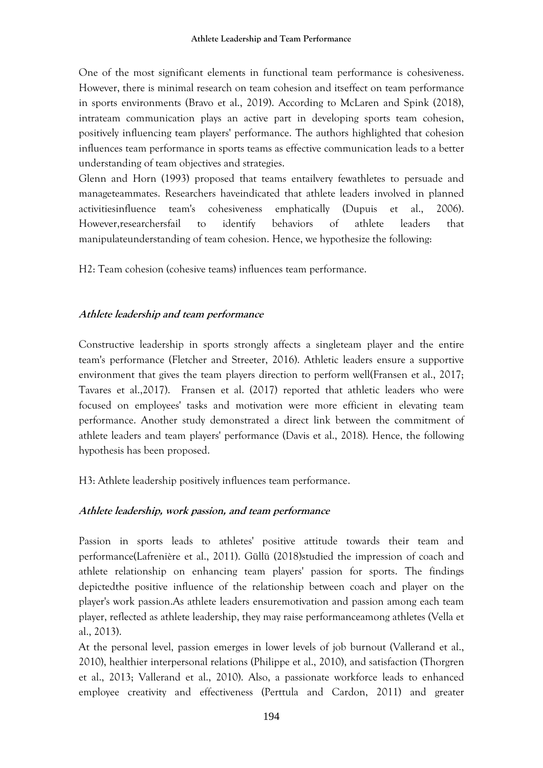One of the most significant elements in functional team performance is cohesiveness. However, there is minimal research on team cohesion and itseffect on team performance in sports environments (Bravo et al., 2019). According to McLaren and Spink (2018), intrateam communication plays an active part in developing sports team cohesion, positively influencing team players' performance. The authors highlighted that cohesion influences team performance in sports teams as effective communication leads to a better understanding of team objectives and strategies.

Glenn and Horn (1993) proposed that teams entailvery fewathletes to persuade and manageteammates. Researchers haveindicated that athlete leaders involved in planned activitiesinfluence team's cohesiveness emphatically (Dupuis et al., 2006). However,researchersfail to identify behaviors of athlete leaders that manipulateunderstanding of team cohesion. Hence, we hypothesize the following:

H2: Team cohesion (cohesive teams) influences team performance.

## **Athlete leadership and team performance**

Constructive leadership in sports strongly affects a singleteam player and the entire team's performance (Fletcher and Streeter, 2016). Athletic leaders ensure a supportive environment that gives the team players direction to perform well(Fransen et al., 2017; Tavares et al.,2017). Fransen et al. (2017) reported that athletic leaders who were focused on employees' tasks and motivation were more efficient in elevating team performance. Another study demonstrated a direct link between the commitment of athlete leaders and team players' performance (Davis et al., 2018). Hence, the following hypothesis has been proposed.

H3: Athlete leadership positively influences team performance.

# **Athlete leadership, work passion, and team performance**

Passion in sports leads to athletes' positive attitude towards their team and performance(Lafrenière et al., 2011). Güllü (2018)studied the impression of coach and athlete relationship on enhancing team players' passion for sports. The findings depictedthe positive influence of the relationship between coach and player on the player's work passion.As athlete leaders ensuremotivation and passion among each team player, reflected as athlete leadership, they may raise performanceamong athletes (Vella et al., 2013).

At the personal level, passion emerges in lower levels of job burnout (Vallerand et al., 2010), healthier interpersonal relations (Philippe et al., 2010), and satisfaction (Thorgren et al., 2013; Vallerand et al., 2010). Also, a passionate workforce leads to enhanced employee creativity and effectiveness (Perttula and Cardon, 2011) and greater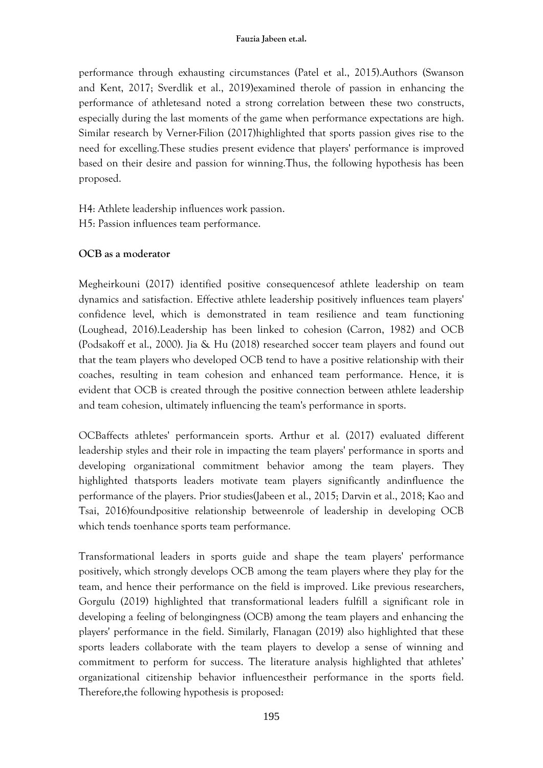performance through exhausting circumstances (Patel et al., 2015).Authors (Swanson and Kent, 2017; Sverdlik et al., 2019)examined therole of passion in enhancing the performance of athletesand noted a strong correlation between these two constructs, especially during the last moments of the game when performance expectations are high. Similar research by Verner-Filion (2017)highlighted that sports passion gives rise to the need for excelling.These studies present evidence that players' performance is improved based on their desire and passion for winning.Thus, the following hypothesis has been proposed.

H4: Athlete leadership influences work passion.

H5: Passion influences team performance.

# **OCB as a moderator**

Megheirkouni (2017) identified positive consequencesof athlete leadership on team dynamics and satisfaction. Effective athlete leadership positively influences team players' confidence level, which is demonstrated in team resilience and team functioning (Loughead, 2016).Leadership has been linked to cohesion (Carron, 1982) and OCB (Podsakoff et al., 2000). Jia & Hu (2018) researched soccer team players and found out that the team players who developed OCB tend to have a positive relationship with their coaches, resulting in team cohesion and enhanced team performance. Hence, it is evident that OCB is created through the positive connection between athlete leadership and team cohesion, ultimately influencing the team's performance in sports.

OCBaffects athletes' performancein sports. Arthur et al. (2017) evaluated different leadership styles and their role in impacting the team players' performance in sports and developing organizational commitment behavior among the team players. They highlighted thatsports leaders motivate team players significantly andinfluence the performance of the players. Prior studies(Jabeen et al., 2015; Darvin et al., 2018; Kao and Tsai, 2016)foundpositive relationship betweenrole of leadership in developing OCB which tends toenhance sports team performance.

Transformational leaders in sports guide and shape the team players' performance positively, which strongly develops OCB among the team players where they play for the team, and hence their performance on the field is improved. Like previous researchers, Gorgulu (2019) highlighted that transformational leaders fulfill a significant role in developing a feeling of belongingness (OCB) among the team players and enhancing the players' performance in the field. Similarly, Flanagan (2019) also highlighted that these sports leaders collaborate with the team players to develop a sense of winning and commitment to perform for success. The literature analysis highlighted that athletes' organizational citizenship behavior influencestheir performance in the sports field. Therefore,the following hypothesis is proposed: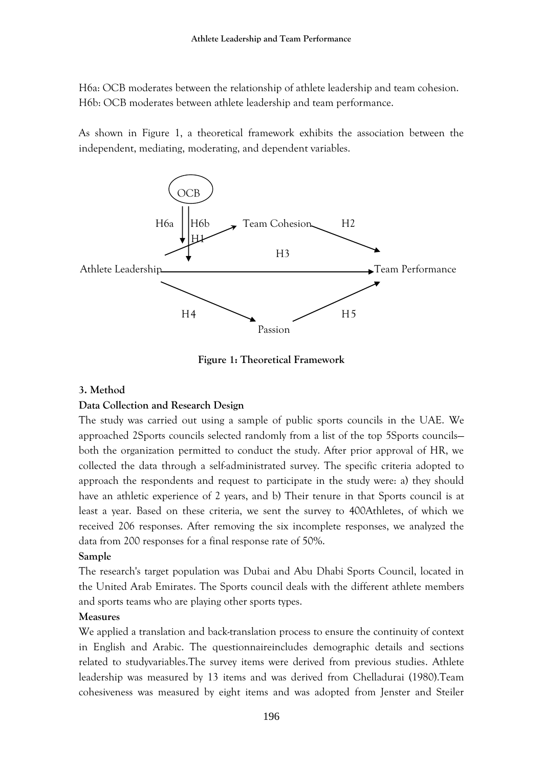H6a: OCB moderates between the relationship of athlete leadership and team cohesion. H6b: OCB moderates between athlete leadership and team performance.

As shown in Figure 1, a theoretical framework exhibits the association between the independent, mediating, moderating, and dependent variables.



**Figure 1: Theoretical Framework**

## **3. Method**

## **Data Collection and Research Design**

The study was carried out using a sample of public sports councils in the UAE. We approached 2Sports councils selected randomly from a list of the top 5Sports councils both the organization permitted to conduct the study. After prior approval of HR, we collected the data through a self-administrated survey. The specific criteria adopted to approach the respondents and request to participate in the study were: a) they should have an athletic experience of 2 years, and b) Their tenure in that Sports council is at least a year. Based on these criteria, we sent the survey to 400Athletes, of which we received 206 responses. After removing the six incomplete responses, we analyzed the data from 200 responses for a final response rate of 50%.

## **Sample**

The research's target population was Dubai and Abu Dhabi Sports Council, located in the United Arab Emirates. The Sports council deals with the different athlete members and sports teams who are playing other sports types.

## **Measures**

We applied a translation and back-translation process to ensure the continuity of context in English and Arabic. The questionnaireincludes demographic details and sections related to studyvariables.The survey items were derived from previous studies. Athlete leadership was measured by 13 items and was derived from Chelladurai (1980).Team cohesiveness was measured by eight items and was adopted from Jenster and Steiler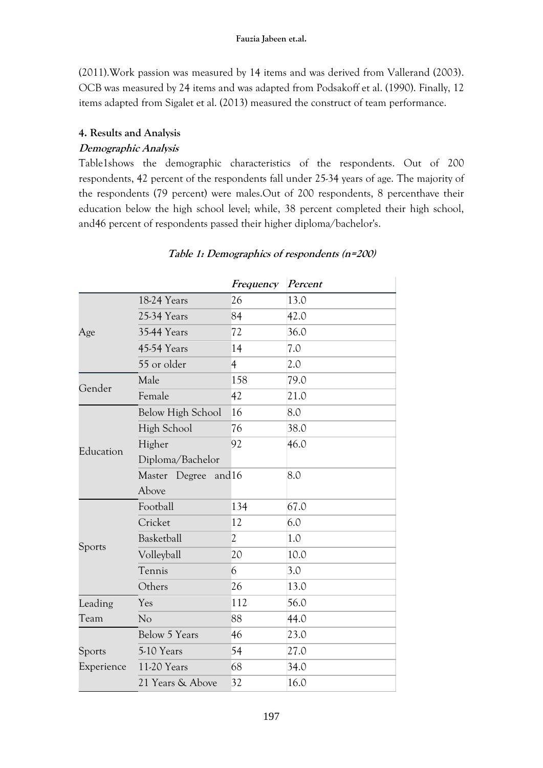(2011).Work passion was measured by 14 items and was derived from Vallerand (2003). OCB was measured by 24 items and was adapted from Podsakoff et al. (1990). Finally, 12 items adapted from Sigalet et al. (2013) measured the construct of team performance.

# **4. Results and Analysis**

# **Demographic Analysis**

Table1shows the demographic characteristics of the respondents. Out of 200 respondents, 42 percent of the respondents fall under 25-34 years of age. The majority of the respondents (79 percent) were males.Out of 200 respondents, 8 percenthave their education below the high school level; while, 38 percent completed their high school, and46 percent of respondents passed their higher diploma/bachelor's.

|            |                         | Frequency      | Percent |
|------------|-------------------------|----------------|---------|
|            | 18-24 Years             | 26             | 13.0    |
|            | 25-34 Years             | 84             | 42.0    |
| Age        | <b>35-44 Years</b>      | 72             | 36.0    |
|            | 45-54 Years             | 14             | 7.0     |
|            | 55 or older             | $\overline{4}$ | 2.0     |
| Gender     | Male                    | 158            | 79.0    |
|            | Female                  | 42             | 21.0    |
|            | Below High School       | 16             | 8.0     |
|            | High School             | 76             | 38.0    |
| Education  | Higher                  | 92             | 46.0    |
|            | Diploma/Bachelor        |                |         |
|            | Master Degree<br>and 16 |                | 8.0     |
|            | Above                   |                |         |
|            | Football                | 134            | 67.0    |
|            | Cricket                 | 12             | 6.0     |
| Sports     | Basketball              | $\overline{2}$ | 1.0     |
|            | Volleyball              | 20             | 10.0    |
|            | Tennis                  | 6              | 3.0     |
|            | Others                  | 26             | 13.0    |
| Leading    | Yes                     | 112            | 56.0    |
| Team       | N <sub>o</sub>          | 88             | 44.0    |
|            | <b>Below 5 Years</b>    | 46             | 23.0    |
| Sports     | 5-10 Years              | 54             | 27.0    |
| Experience | 11-20 Years             | 68             | 34.0    |
|            | 21 Years & Above        | 32             | 16.0    |
|            |                         |                |         |

# **Table 1: Demographics of respondents (n=200)**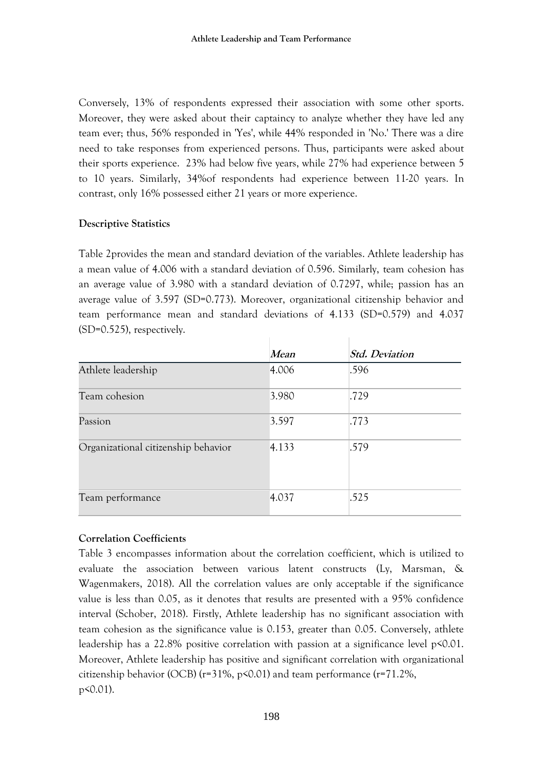Conversely, 13% of respondents expressed their association with some other sports. Moreover, they were asked about their captaincy to analyze whether they have led any team ever; thus, 56% responded in 'Yes', while 44% responded in 'No.' There was a dire need to take responses from experienced persons. Thus, participants were asked about their sports experience. 23% had below five years, while 27% had experience between 5 to 10 years. Similarly, 34%of respondents had experience between 11-20 years. In contrast, only 16% possessed either 21 years or more experience.

## **Descriptive Statistics**

Table 2provides the mean and standard deviation of the variables. Athlete leadership has a mean value of 4.006 with a standard deviation of 0.596. Similarly, team cohesion has an average value of 3.980 with a standard deviation of 0.7297, while; passion has an average value of 3.597 (SD=0.773). Moreover, organizational citizenship behavior and team performance mean and standard deviations of 4.133 (SD=0.579) and 4.037 (SD=0.525), respectively.

|                                     | Mean  | <b>Std. Deviation</b> |
|-------------------------------------|-------|-----------------------|
| Athlete leadership                  | 4.006 | .596                  |
| Team cohesion                       | 3.980 | .729                  |
| Passion                             | 3.597 | .773                  |
| Organizational citizenship behavior | 4.133 | .579                  |
| Team performance                    | 4.037 | .525                  |

# **Correlation Coefficients**

Table 3 encompasses information about the correlation coefficient, which is utilized to evaluate the association between various latent constructs (Ly, Marsman, & Wagenmakers, 2018). All the correlation values are only acceptable if the significance value is less than 0.05, as it denotes that results are presented with a 95% confidence interval (Schober, 2018). Firstly, Athlete leadership has no significant association with team cohesion as the significance value is 0.153, greater than 0.05. Conversely, athlete leadership has a 22.8% positive correlation with passion at a significance level p<0.01. Moreover, Athlete leadership has positive and significant correlation with organizational citizenship behavior (OCB) ( $r=31\%$ ,  $p\leq 0.01$ ) and team performance ( $r=71.2\%$ , p<0.01).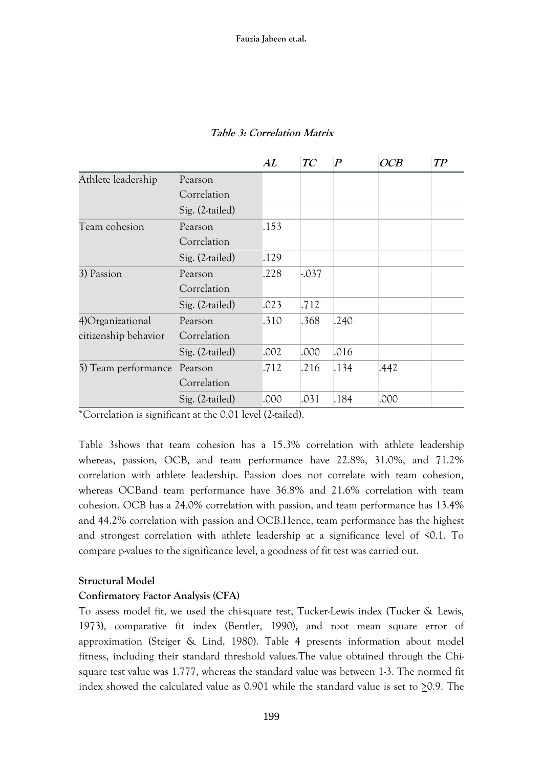|                      |                 | AL   | TC      | $\boldsymbol{P}$ | OCB  | TP |
|----------------------|-----------------|------|---------|------------------|------|----|
| Athlete leadership   | Pearson         |      |         |                  |      |    |
|                      | Correlation     |      |         |                  |      |    |
|                      | Sig. (2-tailed) |      |         |                  |      |    |
| Team cohesion        | Pearson         | .153 |         |                  |      |    |
|                      | Correlation     |      |         |                  |      |    |
|                      | Sig. (2-tailed) | .129 |         |                  |      |    |
| 3) Passion           | Pearson         | .228 | $-.037$ |                  |      |    |
|                      | Correlation     |      |         |                  |      |    |
|                      | Sig. (2-tailed) | .023 | .712    |                  |      |    |
| 4) Organizational    | Pearson         | .310 | .368    | .240             |      |    |
| citizenship behavior | Correlation     |      |         |                  |      |    |
|                      | Sig. (2-tailed) | .002 | .000    | .016             |      |    |
| 5) Team performance  | Pearson         | .712 | .216    | .134             | .442 |    |
|                      | Correlation     |      |         |                  |      |    |
|                      | Sig. (2-tailed) | .000 | .031    | .184             | .000 |    |

## **Table 3: Correlation Matrix**

\*Correlation is significant at the 0.01 level (2-tailed).

Table 3shows that team cohesion has a 15.3% correlation with athlete leadership whereas, passion, OCB, and team performance have 22.8%, 31.0%, and 71.2% correlation with athlete leadership. Passion does not correlate with team cohesion, whereas OCBand team performance have 36.8% and 21.6% correlation with team cohesion. OCB has a 24.0% correlation with passion, and team performance has 13.4% and 44.2% correlation with passion and OCB.Hence, team performance has the highest and strongest correlation with athlete leadership at a significance level of <0.1. To compare p-values to the significance level, a goodness of fit test was carried out.

## **Structural Model**

## **Confirmatory Factor Analysis (CFA)**

To assess model fit, we used the chi-square test, Tucker-Lewis index (Tucker & Lewis, 1973), comparative fit index (Bentler, 1990), and root mean square error of approximation (Steiger & Lind, 1980). Table 4 presents information about model fitness, including their standard threshold values.The value obtained through the Chisquare test value was 1.777, whereas the standard value was between 1-3. The normed fit index showed the calculated value as 0.901 while the standard value is set to  $\geq$ 0.9. The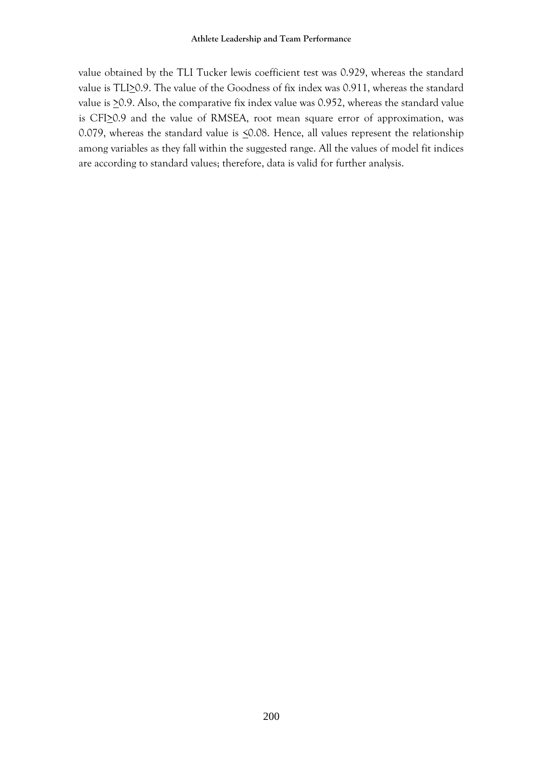value obtained by the TLI Tucker lewis coefficient test was 0.929, whereas the standard value is TLI $\geq$ 0.9. The value of the Goodness of fix index was 0.911, whereas the standard value is  $\geq$ 0.9. Also, the comparative fix index value was 0.952, whereas the standard value is CFI<sub>2</sub>0.9 and the value of RMSEA, root mean square error of approximation, was 0.079, whereas the standard value is  $\leq$ 0.08. Hence, all values represent the relationship among variables as they fall within the suggested range. All the values of model fit indices are according to standard values; therefore, data is valid for further analysis.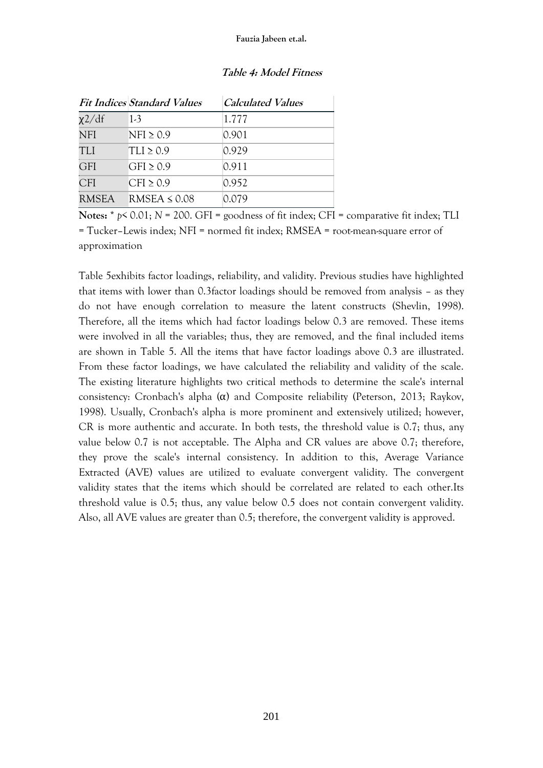|              | <b>Fit Indices Standard Values</b> | <b>Calculated Values</b> |
|--------------|------------------------------------|--------------------------|
| $\chi$ 2/df  | $1-3$                              | 1.777                    |
| <b>NFI</b>   | $NFI \geq 0.9$                     | 0.901                    |
| <b>TLI</b>   | $TLI \geq 0.9$                     | 0.929                    |
| <b>GFI</b>   | GFI $\geq$ 0.9                     | 0.911                    |
| <b>CFI</b>   | CFI $\geq$ 0.9                     | 0.952                    |
| <b>RMSEA</b> | RMSEA $\leq 0.08$                  | 0.079                    |

#### **Table 4: Model Fitness**

**Notes:** \* *p*< 0.01; *N* = 200. GFI = goodness of fit index; CFI = comparative fit index; TLI = Tucker–Lewis index; NFI = normed fit index; RMSEA = root-mean-square error of approximation

Table 5exhibits factor loadings, reliability, and validity. Previous studies have highlighted that items with lower than 0.3factor loadings should be removed from analysis – as they do not have enough correlation to measure the latent constructs (Shevlin, 1998). Therefore, all the items which had factor loadings below 0.3 are removed. These items were involved in all the variables; thus, they are removed, and the final included items are shown in Table 5. All the items that have factor loadings above 0.3 are illustrated. From these factor loadings, we have calculated the reliability and validity of the scale. The existing literature highlights two critical methods to determine the scale's internal consistency: Cronbach's alpha (α) and Composite reliability (Peterson, 2013; Raykov, 1998). Usually, Cronbach's alpha is more prominent and extensively utilized; however, CR is more authentic and accurate. In both tests, the threshold value is 0.7; thus, any value below 0.7 is not acceptable. The Alpha and CR values are above 0.7; therefore, they prove the scale's internal consistency. In addition to this, Average Variance Extracted (AVE) values are utilized to evaluate convergent validity. The convergent validity states that the items which should be correlated are related to each other.Its threshold value is 0.5; thus, any value below 0.5 does not contain convergent validity. Also, all AVE values are greater than 0.5; therefore, the convergent validity is approved.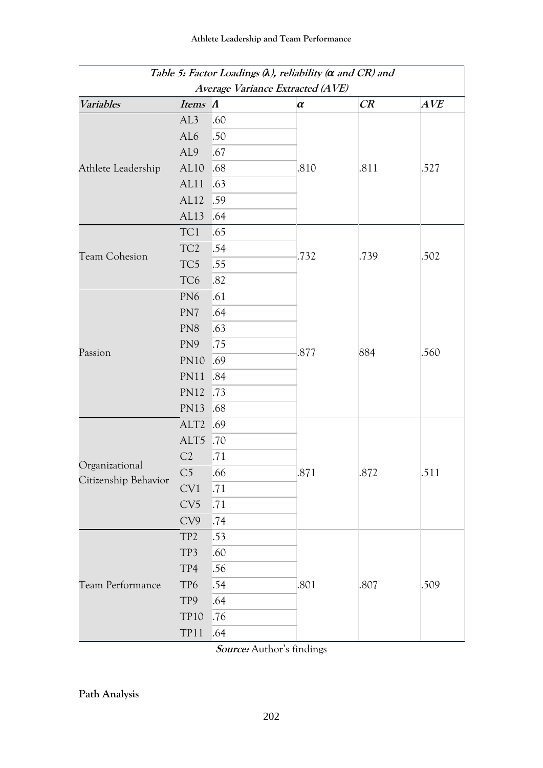|                                        |                  |     | Table 5: Factor Loadings $\lambda$ ), reliability ( $\alpha$ and CR) and |      |      |
|----------------------------------------|------------------|-----|--------------------------------------------------------------------------|------|------|
| Variables                              | Items A          |     | Average Variance Extracted (AVE)<br>$\alpha$                             | CR   | AVE  |
|                                        | AL3              | .60 |                                                                          |      |      |
|                                        | AL6              | .50 |                                                                          |      |      |
|                                        | AL <sub>9</sub>  | .67 |                                                                          |      |      |
| Athlete Leadership                     | AL <sub>10</sub> | .68 | .810                                                                     | .811 | .527 |
|                                        | AL11             | .63 |                                                                          |      |      |
|                                        | AL12             | .59 |                                                                          |      |      |
|                                        | AL13             | .64 |                                                                          |      |      |
|                                        | TC1              | .65 |                                                                          |      |      |
|                                        | TC <sub>2</sub>  | .54 |                                                                          |      |      |
| <b>Team Cohesion</b>                   | TC5              | .55 | .732                                                                     | .739 | .502 |
|                                        | TC <sub>6</sub>  | .82 |                                                                          |      |      |
|                                        | PN <sub>6</sub>  | .61 |                                                                          |      |      |
|                                        | PN7              | .64 |                                                                          |      |      |
|                                        | PN <sub>8</sub>  | .63 |                                                                          |      |      |
|                                        | PN9              | .75 |                                                                          |      |      |
| Passion                                | <b>PN10</b>      | .69 | .877                                                                     | 884  | .560 |
|                                        | <b>PN11</b>      | .84 |                                                                          |      |      |
|                                        | <b>PN12</b>      | .73 |                                                                          |      |      |
|                                        | <b>PN13</b>      | .68 |                                                                          |      |      |
|                                        | ALT <sub>2</sub> | .69 |                                                                          |      |      |
|                                        | ALT5             | .70 |                                                                          |      |      |
|                                        | C2               | .71 |                                                                          |      |      |
| Organizational<br>Citizenship Behavior | C <sub>5</sub>   | .66 | .871                                                                     | .872 | .511 |
|                                        | CV1              | .71 |                                                                          |      |      |
|                                        | CV5              | .71 |                                                                          |      |      |
|                                        | CV9              | .74 |                                                                          |      |      |
|                                        | TP <sub>2</sub>  | .53 |                                                                          |      |      |
|                                        | TP3              | .60 |                                                                          |      |      |
|                                        | TP4              | .56 |                                                                          | .807 |      |
| Team Performance                       | TP6              | .54 | .801                                                                     |      | .509 |
|                                        | TP9              | .64 |                                                                          |      |      |
|                                        | <b>TP10</b>      | .76 |                                                                          |      |      |
|                                        | <b>TP11</b>      | .64 |                                                                          |      |      |

**Source:** Author's findings

**Path Analysis**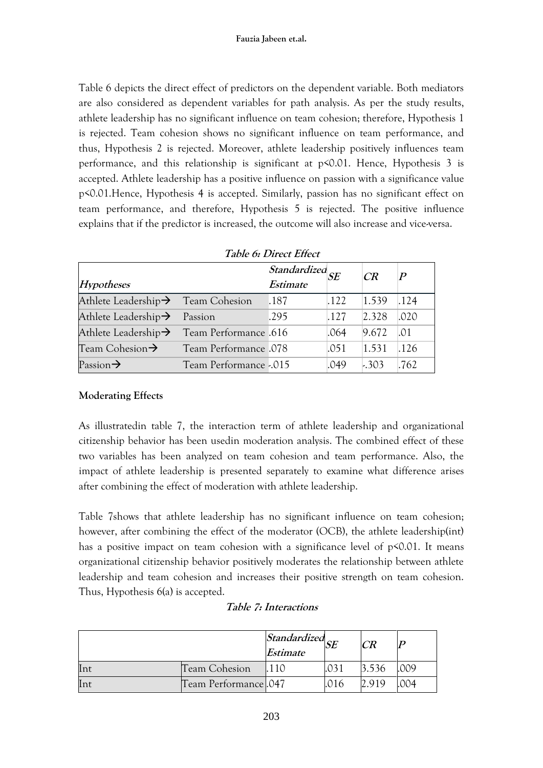Table 6 depicts the direct effect of predictors on the dependent variable. Both mediators are also considered as dependent variables for path analysis. As per the study results, athlete leadership has no significant influence on team cohesion; therefore, Hypothesis 1 is rejected. Team cohesion shows no significant influence on team performance, and thus, Hypothesis 2 is rejected. Moreover, athlete leadership positively influences team performance, and this relationship is significant at p<0.01. Hence, Hypothesis 3 is accepted. Athlete leadership has a positive influence on passion with a significance value p<0.01.Hence, Hypothesis 4 is accepted. Similarly, passion has no significant effect on team performance, and therefore, Hypothesis 5 is rejected. The positive influence explains that if the predictor is increased, the outcome will also increase and vice-versa.

|                                                        |                        | Table 6: Direct Effect         |      |         |                           |
|--------------------------------------------------------|------------------------|--------------------------------|------|---------|---------------------------|
|                                                        |                        | $\overline{Standardized}_{SE}$ |      | CR      | $\bm{p}$                  |
| Hypotheses                                             |                        | Estimate                       |      |         |                           |
| Athlete Leadership→ Team Cohesion                      |                        | .187                           | .122 | 1.539   | .124                      |
| Athlete Leadership $\rightarrow$ Passion               |                        | .295                           | .127 | 2.328   | .020                      |
| Athlete Leadership $\rightarrow$ Team Performance .616 |                        |                                | .064 | 9.672   | $\mathsf{L} \mathsf{O} 1$ |
| Team Cohesion $\rightarrow$                            | Team Performance .078  |                                | .051 | 1.531   | .126                      |
| Passion $\rightarrow$                                  | Team Performance -.015 |                                | .049 | $-.303$ | .762                      |

# **Moderating Effects**

As illustratedin table 7, the interaction term of athlete leadership and organizational citizenship behavior has been usedin moderation analysis. The combined effect of these two variables has been analyzed on team cohesion and team performance. Also, the impact of athlete leadership is presented separately to examine what difference arises after combining the effect of moderation with athlete leadership.

Table 7shows that athlete leadership has no significant influence on team cohesion; however, after combining the effect of the moderator (OCB), the athlete leadership(int) has a positive impact on team cohesion with a significance level of p<0.01. It means organizational citizenship behavior positively moderates the relationship between athlete leadership and team cohesion and increases their positive strength on team cohesion. Thus, Hypothesis 6(a) is accepted.

# **Table 7: Interactions**

|     |                      | $ \overline{Standardized} _{SF}$<br>Estimate | CR    |     |
|-----|----------------------|----------------------------------------------|-------|-----|
| Int | <b>Team Cohesion</b> | 110                                          | 3.536 | 009 |
| Int | Team Performance 047 |                                              | 2.919 | 004 |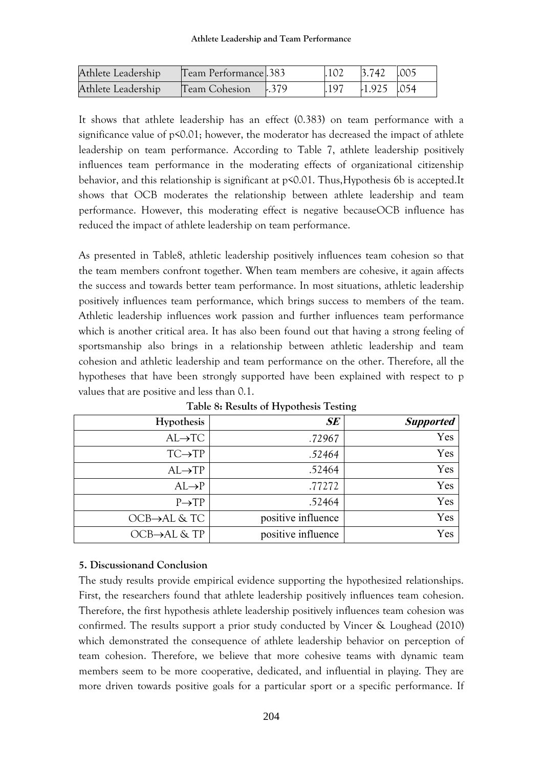| Athlete Leadership | Team Performance 383 |      | $.102$ $.3.742$ $.005$ |  |
|--------------------|----------------------|------|------------------------|--|
| Athlete Leadership | Team Cohesion 1.379  | .197 | $-1.925$ .054          |  |

It shows that athlete leadership has an effect (0.383) on team performance with a significance value of p<0.01; however, the moderator has decreased the impact of athlete leadership on team performance. According to Table 7, athlete leadership positively influences team performance in the moderating effects of organizational citizenship behavior, and this relationship is significant at p<0.01. Thus,Hypothesis 6b is accepted.It shows that OCB moderates the relationship between athlete leadership and team performance. However, this moderating effect is negative becauseOCB influence has reduced the impact of athlete leadership on team performance.

As presented in Table8, athletic leadership positively influences team cohesion so that the team members confront together. When team members are cohesive, it again affects the success and towards better team performance. In most situations, athletic leadership positively influences team performance, which brings success to members of the team. Athletic leadership influences work passion and further influences team performance which is another critical area. It has also been found out that having a strong feeling of sportsmanship also brings in a relationship between athletic leadership and team cohesion and athletic leadership and team performance on the other. Therefore, all the hypotheses that have been strongly supported have been explained with respect to p values that are positive and less than 0.1.

| <b>Supported</b> | SE                 | Hypothesis                 |
|------------------|--------------------|----------------------------|
| Yes              | .72967             | $AL \rightarrow TC$        |
| Yes              | .52464             | $TC \rightarrow TP$        |
| Yes              | .52464             | $AL \rightarrow TP$        |
| Yes              | .77272             | $AL \rightarrow P$         |
| Yes              | .52464             | $P \rightarrow TP$         |
| Yes              | positive influence | $OCB \rightarrow AL & TC$  |
| Yes              | positive influence | $OCB \rightarrow AL & T$ P |
|                  |                    |                            |

**Table 8: Results of Hypothesis Testing**

## **5. Discussionand Conclusion**

The study results provide empirical evidence supporting the hypothesized relationships. First, the researchers found that athlete leadership positively influences team cohesion. Therefore, the first hypothesis athlete leadership positively influences team cohesion was confirmed. The results support a prior study conducted by Vincer & Loughead (2010) which demonstrated the consequence of athlete leadership behavior on perception of team cohesion. Therefore, we believe that more cohesive teams with dynamic team members seem to be more cooperative, dedicated, and influential in playing. They are more driven towards positive goals for a particular sport or a specific performance. If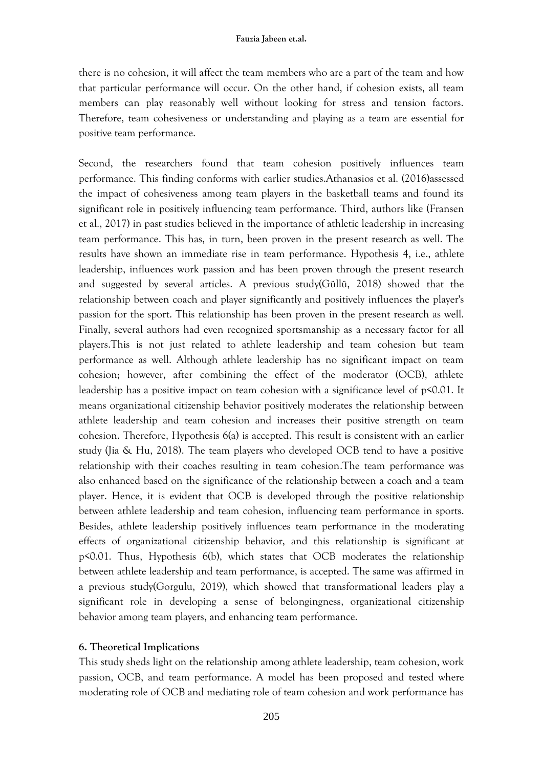there is no cohesion, it will affect the team members who are a part of the team and how that particular performance will occur. On the other hand, if cohesion exists, all team members can play reasonably well without looking for stress and tension factors. Therefore, team cohesiveness or understanding and playing as a team are essential for positive team performance.

Second, the researchers found that team cohesion positively influences team performance. This finding conforms with earlier studies.Athanasios et al. (2016)assessed the impact of cohesiveness among team players in the basketball teams and found its significant role in positively influencing team performance. Third, authors like (Fransen et al., 2017) in past studies believed in the importance of athletic leadership in increasing team performance. This has, in turn, been proven in the present research as well. The results have shown an immediate rise in team performance. Hypothesis 4, i.e., athlete leadership, influences work passion and has been proven through the present research and suggested by several articles. A previous study(Güllü, 2018) showed that the relationship between coach and player significantly and positively influences the player's passion for the sport. This relationship has been proven in the present research as well. Finally, several authors had even recognized sportsmanship as a necessary factor for all players.This is not just related to athlete leadership and team cohesion but team performance as well. Although athlete leadership has no significant impact on team cohesion; however, after combining the effect of the moderator (OCB), athlete leadership has a positive impact on team cohesion with a significance level of  $p$ <0.01. It means organizational citizenship behavior positively moderates the relationship between athlete leadership and team cohesion and increases their positive strength on team cohesion. Therefore, Hypothesis 6(a) is accepted. This result is consistent with an earlier study (Jia & Hu, 2018). The team players who developed OCB tend to have a positive relationship with their coaches resulting in team cohesion.The team performance was also enhanced based on the significance of the relationship between a coach and a team player. Hence, it is evident that OCB is developed through the positive relationship between athlete leadership and team cohesion, influencing team performance in sports. Besides, athlete leadership positively influences team performance in the moderating effects of organizational citizenship behavior, and this relationship is significant at p<0.01. Thus, Hypothesis 6(b), which states that OCB moderates the relationship between athlete leadership and team performance, is accepted. The same was affirmed in a previous study(Gorgulu, 2019), which showed that transformational leaders play a significant role in developing a sense of belongingness, organizational citizenship behavior among team players, and enhancing team performance.

#### **6. Theoretical Implications**

This study sheds light on the relationship among athlete leadership, team cohesion, work passion, OCB, and team performance. A model has been proposed and tested where moderating role of OCB and mediating role of team cohesion and work performance has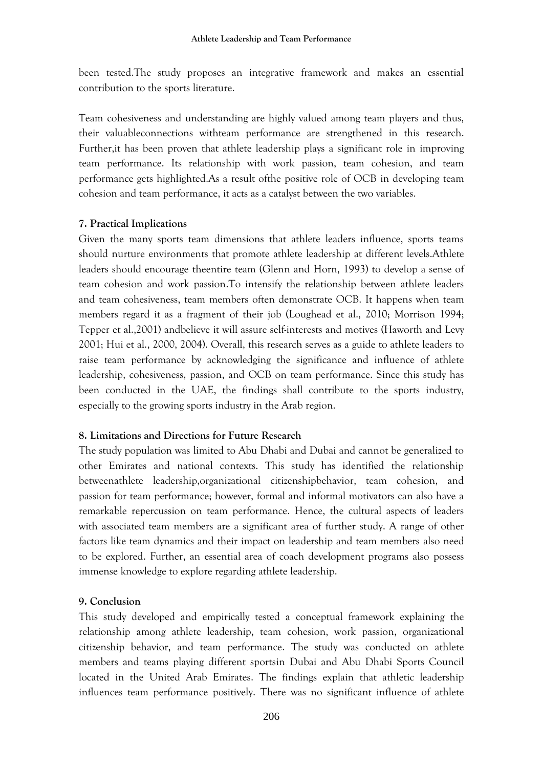been tested.The study proposes an integrative framework and makes an essential contribution to the sports literature.

Team cohesiveness and understanding are highly valued among team players and thus, their valuableconnections withteam performance are strengthened in this research. Further,it has been proven that athlete leadership plays a significant role in improving team performance. Its relationship with work passion, team cohesion, and team performance gets highlighted.As a result ofthe positive role of OCB in developing team cohesion and team performance, it acts as a catalyst between the two variables.

#### **7. Practical Implications**

Given the many sports team dimensions that athlete leaders influence, sports teams should nurture environments that promote athlete leadership at different levels.Athlete leaders should encourage theentire team (Glenn and Horn, 1993) to develop a sense of team cohesion and work passion.To intensify the relationship between athlete leaders and team cohesiveness, team members often demonstrate OCB. It happens when team members regard it as a fragment of their job (Loughead et al., 2010; Morrison 1994; Tepper et al.,2001) andbelieve it will assure self-interests and motives (Haworth and Levy 2001; Hui et al., 2000, 2004). Overall, this research serves as a guide to athlete leaders to raise team performance by acknowledging the significance and influence of athlete leadership, cohesiveness, passion, and OCB on team performance. Since this study has been conducted in the UAE, the findings shall contribute to the sports industry, especially to the growing sports industry in the Arab region.

#### **8. Limitations and Directions for Future Research**

The study population was limited to Abu Dhabi and Dubai and cannot be generalized to other Emirates and national contexts. This study has identified the relationship betweenathlete leadership,organizational citizenshipbehavior, team cohesion, and passion for team performance; however, formal and informal motivators can also have a remarkable repercussion on team performance. Hence, the cultural aspects of leaders with associated team members are a significant area of further study. A range of other factors like team dynamics and their impact on leadership and team members also need to be explored. Further, an essential area of coach development programs also possess immense knowledge to explore regarding athlete leadership.

#### **9. Conclusion**

This study developed and empirically tested a conceptual framework explaining the relationship among athlete leadership, team cohesion, work passion, organizational citizenship behavior, and team performance. The study was conducted on athlete members and teams playing different sportsin Dubai and Abu Dhabi Sports Council located in the United Arab Emirates. The findings explain that athletic leadership influences team performance positively. There was no significant influence of athlete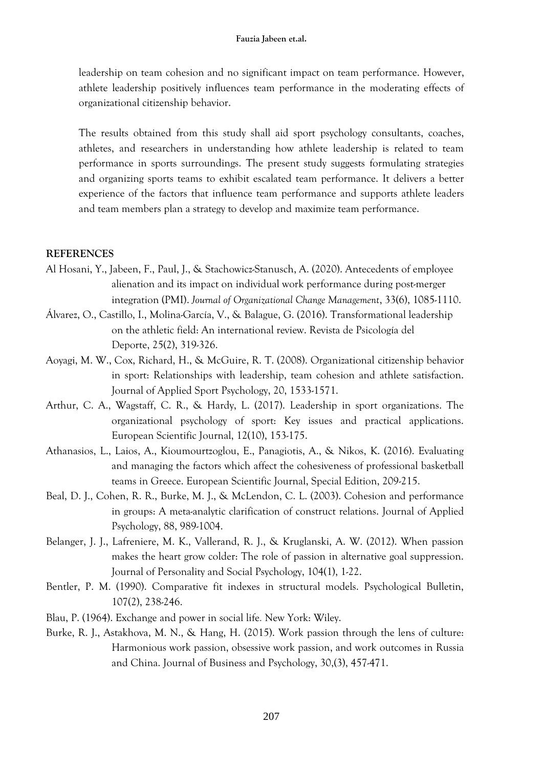leadership on team cohesion and no significant impact on team performance. However, athlete leadership positively influences team performance in the moderating effects of organizational citizenship behavior.

The results obtained from this study shall aid sport psychology consultants, coaches, athletes, and researchers in understanding how athlete leadership is related to team performance in sports surroundings. The present study suggests formulating strategies and organizing sports teams to exhibit escalated team performance. It delivers a better experience of the factors that influence team performance and supports athlete leaders and team members plan a strategy to develop and maximize team performance.

#### **REFERENCES**

- [Al Hosani, Y.,](https://www.emerald.com/insight/search?q=Yousef%20Al%20Hosani) [Jabeen, F.,](https://www.emerald.com/insight/search?q=Fauzia%20Jabeen) [Paul, J.,](https://www.emerald.com/insight/search?q=Justin%20Paul) & [Stachowicz-Stanusch, A.](https://www.emerald.com/insight/search?q=Agata%20Stachowicz-Stanusch) (2020). Antecedents of employee alienation and its impact on individual work performance during post-merger integration (PMI). *[Journal of Organizational Change Management](https://www.emerald.com/insight/publication/issn/0953-4814)*, 33(6), 1085-1110.
- Álvarez, O., Castillo, I., Molina-García, V., & Balague, G. (2016). Transformational leadership on the athletic field: An international review. Revista de Psicología del Deporte, 25(2), 319-326.
- Aoyagi, M. W., Cox, Richard, H., & McGuire, R. T. (2008). Organizational citizenship behavior in sport: Relationships with leadership, team cohesion and athlete satisfaction. Journal of Applied Sport Psychology, 20, 1533-1571.
- Arthur, C. A., Wagstaff, C. R., & Hardy, L. (2017). Leadership in sport organizations. The organizational psychology of sport: Key issues and practical applications. European Scientific Journal, 12(10), 153-175.
- Athanasios, L., Laios, A., Kioumourtzoglou, E., Panagiotis, A., & Nikos, K. (2016). Evaluating and managing the factors which affect the cohesiveness of professional basketball teams in Greece. European Scientific Journal, Special Edition, 209-215.
- Beal, D. J., Cohen, R. R., Burke, M. J., & McLendon, C. L. (2003). Cohesion and performance in groups: A meta-analytic clarification of construct relations. Journal of Applied Psychology, 88, 989-1004.
- Belanger, J. J., Lafreniere, M. K., Vallerand, R. J., & Kruglanski, A. W. (2012). When passion makes the heart grow colder: The role of passion in alternative goal suppression. Journal of Personality and Social Psychology, 104(1), 1-22.
- Bentler, P. M. (1990). Comparative fit indexes in structural models. Psychological Bulletin, 107(2), 238-246.
- Blau, P. (1964). Exchange and power in social life*.* New York: Wiley.
- Burke, R. J., Astakhova, M. N., & Hang, H. (2015). Work passion through the lens of culture: Harmonious work passion, obsessive work passion, and work outcomes in Russia and China. Journal of Business and Psychology, 30,(3), 457-471.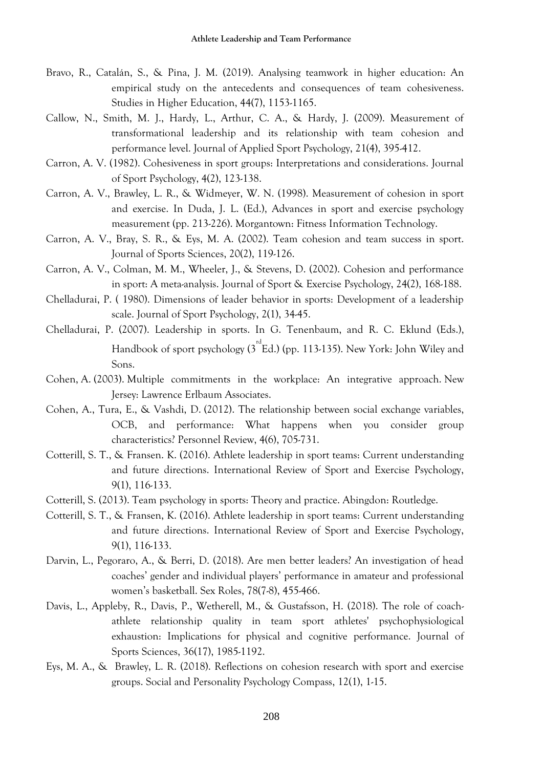- Bravo, R., Catalán, S., & Pina, J. M. (2019). Analysing teamwork in higher education: An empirical study on the antecedents and consequences of team cohesiveness. Studies in Higher Education, 44(7), 1153-1165.
- Callow, N., Smith, M. J., Hardy, L., Arthur, C. A., & Hardy, J. (2009). Measurement of transformational leadership and its relationship with team cohesion and performance level. Journal of Applied Sport Psychology, 21(4), 395-412.
- Carron, A. V. (1982). Cohesiveness in sport groups: Interpretations and considerations. Journal of Sport Psychology, 4(2), 123-138.
- Carron, A. V., Brawley, L. R., & Widmeyer, W. N. (1998). Measurement of cohesion in sport and exercise. In Duda, J. L. (Ed.), Advances in sport and exercise psychology measurement (pp. 213-226). Morgantown: Fitness Information Technology.
- Carron, A. V., Bray, S. R., & Eys, M. A. (2002). Team cohesion and team success in sport. Journal of Sports Sciences, 20(2), 119-126.
- Carron, A. V., Colman, M. M., Wheeler, J., & Stevens, D. (2002). Cohesion and performance in sport: A meta-analysis. Journal of Sport & Exercise Psychology, 24(2), 168-188.
- Chelladurai, P. ( 1980). Dimensions of leader behavior in sports: Development of a leadership scale. Journal of Sport Psychology, 2(1), 34-45.
- Chelladurai, P. (2007). Leadership in sports. In G. Tenenbaum, and R. C. Eklund (Eds.), Handbook of sport psychology ( $3^{rd}$ Ed.) (pp. 113-135). New York: John Wiley and Sons.
- Cohen, A. (2003). Multiple commitments in the workplace: An integrative approach. New Jersey: Lawrence Erlbaum Associates.
- [Cohen,](https://www.emerald.com/insight/search?q=Aaron%20Cohen) A., Tura, E., & Vashdi, D. (2012). The relationship between social exchange variables, OCB, and performance: What happens when you consider group characteristics? [Personnel Review,](https://www.emerald.com/insight/publication/issn/0048-3486) 4(6), 705-731.
- Cotterill, S. T., & Fransen. K. (2016). Athlete leadership in sport teams: Current understanding and future directions. International Review of Sport and Exercise Psychology, 9(1), 116-133.
- Cotterill, S. (2013). Team psychology in sports: Theory and practice. Abingdon: Routledge.
- Cotterill, S. T., & Fransen, K. (2016). Athlete leadership in sport teams: Current understanding and future directions. International Review of Sport and Exercise Psychology, 9(1), 116-133.
- Darvin, L., Pegoraro, A., & Berri, D. (2018). Are men better leaders? An investigation of head coaches' gender and individual players' performance in amateur and professional women's basketball. Sex Roles, 78(7-8), 455-466.
- Davis, L., Appleby, R., Davis, P., Wetherell, M., & Gustafsson, H. (2018). The role of coachathlete relationship quality in team sport athletes' psychophysiological exhaustion: Implications for physical and cognitive performance. Journal of Sports Sciences, 36(17), 1985-1192.
- Eys, M. A., & Brawley, L. R. (2018). Reflections on cohesion research with sport and exercise groups. Social and Personality Psychology Compass, 12(1), 1-15.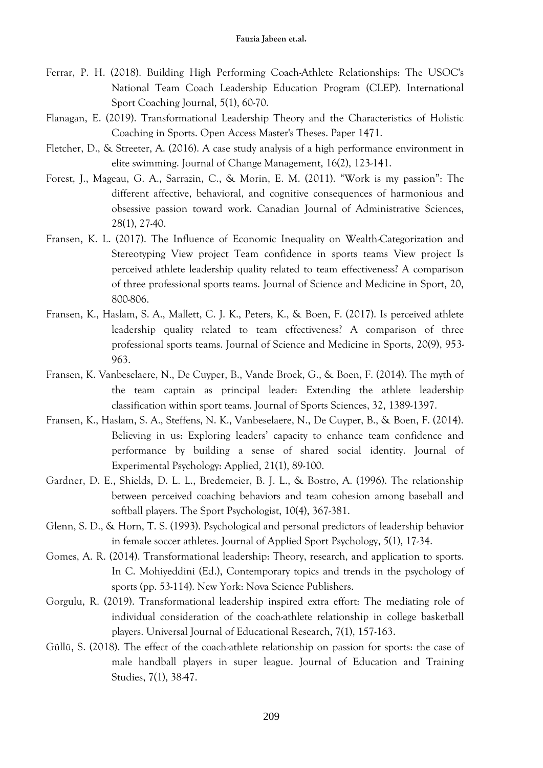- Ferrar, P. H. (2018). Building High Performing Coach-Athlete Relationships: The USOC's National Team Coach Leadership Education Program (CLEP). International Sport Coaching Journal, 5(1), 60-70.
- Flanagan, E. (2019). Transformational Leadership Theory and the Characteristics of Holistic Coaching in Sports. Open Access Master's Theses. Paper 1471.
- Fletcher, D., & Streeter, A. (2016). A case study analysis of a high performance environment in elite swimming. Journal of Change Management, 16(2), 123-141.
- Forest, J., Mageau, G. A., Sarrazin, C., & Morin, E. M. (2011). "Work is my passion": The different affective, behavioral, and cognitive consequences of harmonious and obsessive passion toward work. Canadian Journal of Administrative Sciences, 28(1), 27-40.
- Fransen, K. L. (2017). The Influence of Economic Inequality on Wealth-Categorization and Stereotyping View project Team confidence in sports teams View project Is perceived athlete leadership quality related to team effectiveness? A comparison of three professional sports teams. Journal of Science and Medicine in Sport, 20, 800-806.
- Fransen, K., Haslam, S. A., Mallett, C. J. K., Peters, K., & Boen, F. (2017). Is perceived athlete leadership quality related to team effectiveness? A comparison of three professional sports teams. Journal of Science and Medicine in Sports, 20(9), 953- 963.
- Fransen, K. Vanbeselaere, N., De Cuyper, B., Vande Broek, G., & Boen, F. (2014). The myth of the team captain as principal leader: Extending the athlete leadership classification within sport teams. Journal of Sports Sciences, 32, 1389-1397.
- Fransen, K., Haslam, S. A., Steffens, N. K., Vanbeselaere, N., De Cuyper, B., & Boen, F. (2014). Believing in us: Exploring leaders' capacity to enhance team confidence and performance by building a sense of shared social identity. Journal of Experimental Psychology: Applied, 21(1), 89-100.
- Gardner, D. E., Shields, D. L. L., Bredemeier, B. J. L., & Bostro, A. (1996). The relationship between perceived coaching behaviors and team cohesion among baseball and softball players. The Sport Psychologist, 10(4), 367-381.
- Glenn, S. D., & Horn, T. S. (1993). Psychological and personal predictors of leadership behavior in female soccer athletes. Journal of Applied Sport Psychology, 5(1), 17-34.
- Gomes, A. R. (2014). Transformational leadership: Theory, research, and application to sports. In C. Mohiyeddini (Ed.), Contemporary topics and trends in the psychology of sports (pp. 53-114). New York: Nova Science Publishers.
- Gorgulu, R. (2019). Transformational leadership inspired extra effort: The mediating role of individual consideration of the coach-athlete relationship in college basketball players. Universal Journal of Educational Research, 7(1), 157-163.
- Güllü, S. (2018). The effect of the coach-athlete relationship on passion for sports: the case of male handball players in super league. Journal of Education and Training Studies, 7(1), 38-47.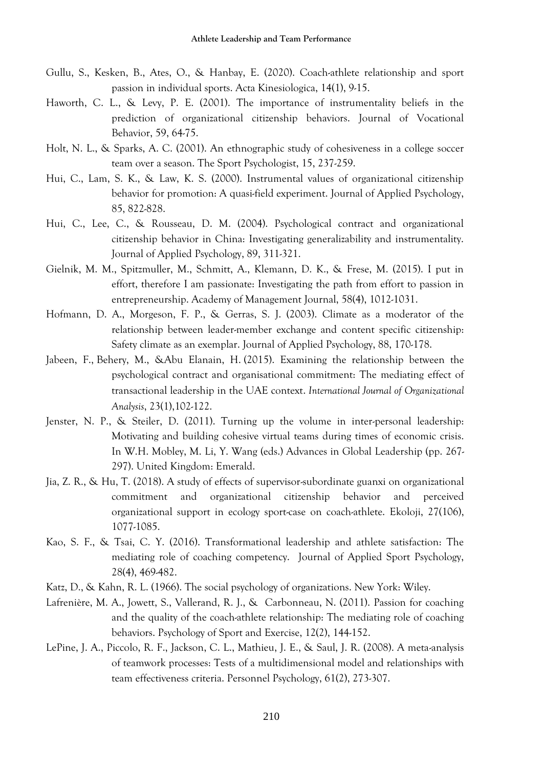- Gullu, S., Kesken, B., Ates, O., & Hanbay, E. (2020). Coach-athlete relationship and sport passion in individual sports. [Acta Kinesiologica,](https://www.cabdirect.org/cabdirect/search/?q=do%3a%22Acta+Kinesiologica%22) 14(1), 9-15.
- Haworth, C. L., & Levy, P. E. (2001). The importance of instrumentality beliefs in the prediction of organizational citizenship behaviors. Journal of Vocational Behavior, 59, 64-75.
- Holt, N. L., & Sparks, A. C. (2001). An ethnographic study of cohesiveness in a college soccer team over a season. The Sport Psychologist, 15, 237-259.
- Hui, C., Lam, S. K., & Law, K. S. (2000). Instrumental values of organizational citizenship behavior for promotion: A quasi-field experiment. Journal of Applied Psychology, 85, 822-828.
- Hui, C., Lee, C., & Rousseau, D. M. (2004). Psychological contract and organizational citizenship behavior in China: Investigating generalizability and instrumentality. Journal of Applied Psychology, 89, 311-321.
- Gielnik, M. M., Spitzmuller, M., Schmitt, A., Klemann, D. K., & Frese, M. (2015). I put in effort, therefore I am passionate: Investigating the path from effort to passion in entrepreneurship. Academy of Management Journal, 58(4), 1012-1031.
- Hofmann, D. A., Morgeson, F. P., & Gerras, S. J. (2003). Climate as a moderator of the relationship between leader-member exchange and content specific citizenship: Safety climate as an exemplar. Journal of Applied Psychology, 88, 170-178.
- [Jabeen, F.,](https://www.emerald.com/insight/search?q=Fauzia%20Jabeen) [Behery, M.,](https://www.emerald.com/insight/search?q=Mohamed%20Behery) [&Abu Elanain, H.](https://www.emerald.com/insight/search?q=Hossam%20Abu%20Elanain) (2015). Examining the relationship between the psychological contract and organisational commitment: The mediating effect of transactional leadership in the UAE context. *[International Journal of Organizational](https://www.emerald.com/insight/publication/issn/1934-8835)  [Analysis](https://www.emerald.com/insight/publication/issn/1934-8835)*, 23(1),102-122.
- Jenster, N. P., & Steiler, D. (2011). Turning up the volume in inter-personal leadership: Motivating and building cohesive virtual teams during times of economic crisis. In W.H. Mobley, M. Li, Y. Wang (eds.) Advances in Global Leadership (pp. 267- 297). United Kingdom: Emerald.
- Jia, Z. R., & Hu, T. (2018). A study of effects of supervisor-subordinate guanxi on organizational commitment and organizational citizenship behavior and perceived organizational support in ecology sport-case on coach-athlete. Ekoloji, 27(106), 1077-1085.
- Kao, S. F., & Tsai, C. Y. (2016). Transformational leadership and athlete satisfaction: The mediating role of coaching competency. Journal of Applied Sport Psychology, 28(4), 469-482.
- Katz, D., & Kahn, R. L. (1966). The social psychology of organizations. New York: Wiley.
- Lafrenière, M. A., Jowett, S., Vallerand, R. J., & Carbonneau, N. (2011). Passion for coaching and the quality of the coach-athlete relationship: The mediating role of coaching behaviors. Psychology of Sport and Exercise, 12(2), 144-152.
- LePine, J. A., Piccolo, R. F., Jackson, C. L., Mathieu, J. E., & Saul, J. R. (2008). A meta-analysis of teamwork processes: Tests of a multidimensional model and relationships with team effectiveness criteria. Personnel Psychology, 61(2), 273-307.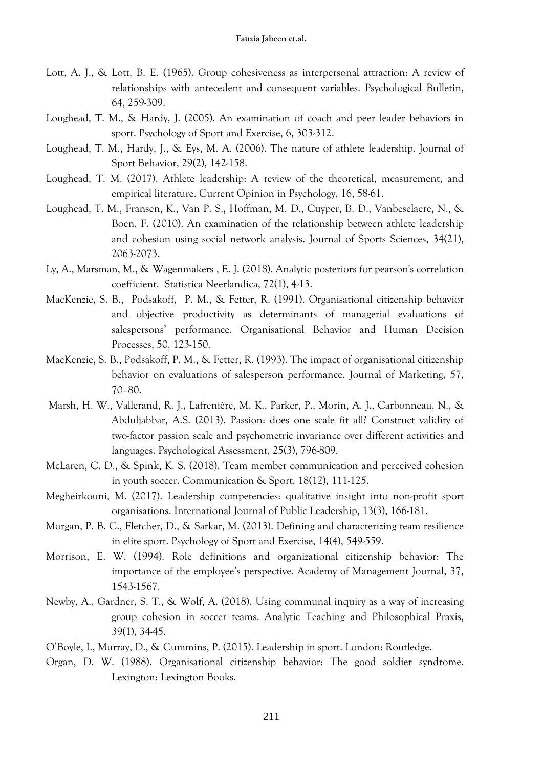- Lott, A. J., & Lott, B. E. (1965). Group cohesiveness as interpersonal attraction: A review of relationships with antecedent and consequent variables. Psychological Bulletin, 64, 259-309.
- Loughead, T. M., & Hardy, J. (2005). An examination of coach and peer leader behaviors in sport. Psychology of Sport and Exercise, 6, 303-312.
- Loughead, T. M., Hardy, J., & Eys, M. A. (2006). The nature of athlete leadership. Journal of Sport Behavior, 29(2), 142-158.
- Loughead, T. M. (2017). Athlete leadership: A review of the theoretical, measurement, and empirical literature. Current Opinion in Psychology, 16, 58-61.
- Loughead, T. M., Fransen, K., Van P. S., Hoffman, M. D., Cuyper, B. D., Vanbeselaere, N., & Boen, F. (2010). An examination of the relationship between athlete leadership and cohesion using social network analysis. Journal of Sports Sciences, 34(21), 2063-2073.
- Ly, A., Marsman, M., & Wagenmakers , E. J. (2018). Analytic posteriors for pearson's correlation coefficient. Statistica Neerlandica, 72(1), 4-13.
- MacKenzie, S. B., Podsakoff, P. M., & Fetter, R. (1991). Organisational citizenship behavior and objective productivity as determinants of managerial evaluations of salespersons' performance. Organisational Behavior and Human Decision Processes, 50, 123-150.
- MacKenzie, S. B., Podsakoff, P. M., & Fetter, R. (1993). The impact of organisational citizenship behavior on evaluations of salesperson performance. Journal of Marketing, 57, 70–80.
- Marsh, H. W., Vallerand, R. J., Lafrenière, M. K., Parker, P., Morin, A. J., Carbonneau, N., & Abduljabbar, A.S. (2013). Passion: does one scale fit all? Construct validity of two-factor passion scale and psychometric invariance over different activities and languages. Psychological Assessment, 25(3), 796-809.
- McLaren, C. D., & Spink, K. S. (2018). Team member communication and perceived cohesion in youth soccer. Communication & Sport, 18(12), 111-125.
- Megheirkouni, M. (2017). Leadership competencies: qualitative insight into non-profit sport organisations. International Journal of Public Leadership, 13(3), 166-181.
- Morgan, P. B. C., Fletcher, D., & Sarkar, M. (2013). Defining and characterizing team resilience in elite sport. Psychology of Sport and Exercise, 14(4), 549-559.
- Morrison, E. W. (1994). Role definitions and organizational citizenship behavior: The importance of the employee's perspective. Academy of Management Journal, 37, 1543-1567.
- Newby, A., Gardner, S. T., & Wolf, A. (2018). Using communal inquiry as a way of increasing group cohesion in soccer teams. Analytic Teaching and Philosophical Praxis, 39(1), 34-45.
- O'Boyle, I., Murray, D., & Cummins, P. (2015). Leadership in sport. London: Routledge.
- Organ, D. W. (1988). Organisational citizenship behavior: The good soldier syndrome. Lexington: Lexington Books.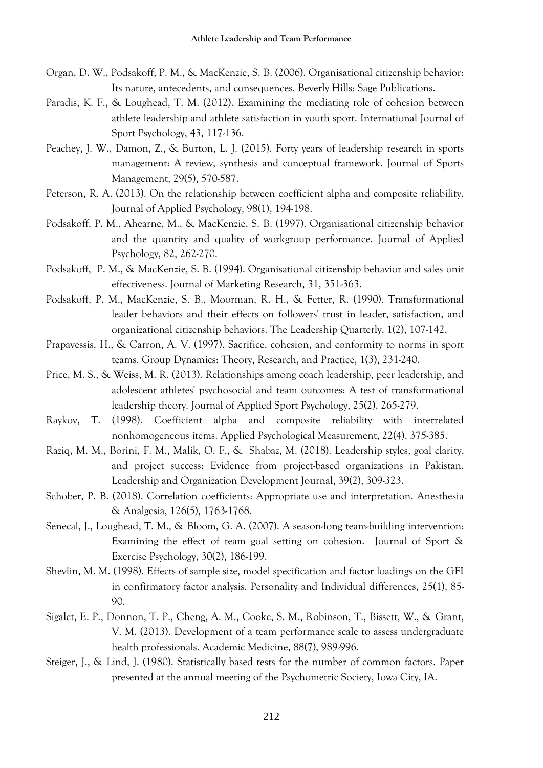- Organ, D. W., Podsakoff, P. M., & MacKenzie, S. B. (2006). Organisational citizenship behavior: Its nature, antecedents, and consequences. Beverly Hills: Sage Publications.
- Paradis, K. F., & Loughead, T. M. (2012). Examining the mediating role of cohesion between athlete leadership and athlete satisfaction in youth sport. International Journal of Sport Psychology, 43, 117-136.
- Peachey, J. W., Damon, Z., & Burton, L. J. (2015). Forty years of leadership research in sports management: A review, synthesis and conceptual framework. Journal of Sports Management, 29(5), 570-587.
- Peterson, R. A. (2013). On the relationship between coefficient alpha and composite reliability. Journal of Applied Psychology, 98(1), 194-198.
- Podsakoff, P. M., Ahearne, M., & MacKenzie, S. B. (1997). Organisational citizenship behavior and the quantity and quality of workgroup performance. Journal of Applied Psychology, 82, 262-270.
- Podsakoff, P. M., & MacKenzie, S. B. (1994). Organisational citizenship behavior and sales unit effectiveness. Journal of Marketing Research, 31, 351-363.
- Podsakoff, P. M., MacKenzie, S. B., Moorman, R. H., & Fetter, R. (1990). Transformational leader behaviors and their effects on followers' trust in leader, satisfaction, and organizational citizenship behaviors. The Leadership Quarterly, 1(2), 107-142.
- Prapavessis, H., & Carron, A. V. (1997). Sacrifice, cohesion, and conformity to norms in sport teams. Group Dynamics: Theory, Research, and Practice, 1(3), 231-240.
- Price, M. S., & Weiss, M. R. (2013). Relationships among coach leadership, peer leadership, and adolescent athletes' psychosocial and team outcomes: A test of transformational leadership theory. Journal of Applied Sport Psychology, 25(2), 265-279.
- Raykov, T. (1998). Coefficient alpha and composite reliability with interrelated nonhomogeneous items. Applied Psychological Measurement, 22(4), 375-385.
- Raziq, M. M., Borini, F. M., Malik, O. F., & Shabaz, M. (2018). Leadership styles, goal clarity, and project success: Evidence from project-based organizations in Pakistan. Leadership and Organization Development Journal, 39(2), 309-323.
- Schober, P. B. (2018). Correlation coefficients: Appropriate use and interpretation. Anesthesia & Analgesia, 126(5), 1763-1768.
- Senecal, J., Loughead, T. M., & Bloom, G. A. (2007). A season-long team-building intervention: Examining the effect of team goal setting on cohesion. Journal of Sport & Exercise Psychology, 30(2), 186-199.
- Shevlin, M. M. (1998). Effects of sample size, model specification and factor loadings on the GFI in confirmatory factor analysis. Personality and Individual differences, 25(1), 85- 90.
- Sigalet, E. P., Donnon, T. P., Cheng, A. M., Cooke, S. M., Robinson, T., Bissett, W., & Grant, V. M. (2013). Development of a team performance scale to assess undergraduate health professionals. Academic Medicine, 88(7), 989-996.
- Steiger, J., & Lind, J. (1980). Statistically based tests for the number of common factors. Paper presented at the annual meeting of the Psychometric Society, Iowa City, IA.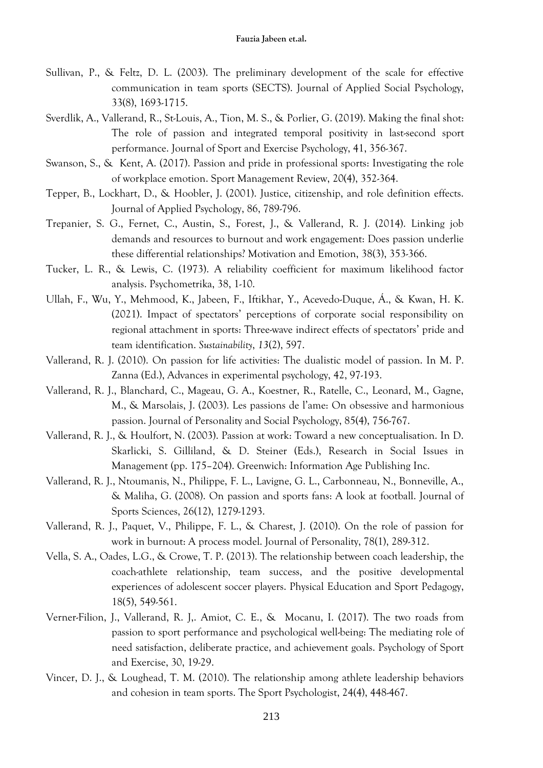- Sullivan, P., & Feltz, D. L. (2003). The preliminary development of the scale for effective communication in team sports (SECTS). Journal of Applied Social Psychology, 33(8), 1693-1715.
- Sverdlik, A., Vallerand, R., St-Louis, A., Tion, M. S., & Porlier, G. (2019). Making the final shot: The role of passion and integrated temporal positivity in last-second sport performance. Journal of Sport and Exercise Psychology, 41, 356-367.
- Swanson, S., & Kent, A. (2017). Passion and pride in professional sports: Investigating the role of workplace emotion. Sport Management Review, 20(4), 352-364.
- Tepper, B., Lockhart, D., & Hoobler, J. (2001). Justice, citizenship, and role definition effects. Journal of Applied Psychology, 86, 789-796.
- Trepanier, S. G., Fernet, C., Austin, S., Forest, J., & Vallerand, R. J. (2014). Linking job demands and resources to burnout and work engagement: Does passion underlie these differential relationships? Motivation and Emotion, 38(3), 353-366.
- Tucker, L. R., & Lewis, C. (1973). A reliability coefficient for maximum likelihood factor analysis. Psychometrika, 38, 1-10.
- Ullah, F., Wu, Y., Mehmood, K., Jabeen, F., Iftikhar, Y., Acevedo-Duque, Á., & Kwan, H. K. (2021). Impact of spectators' perceptions of corporate social responsibility on regional attachment in sports: Three-wave indirect effects of spectators' pride and team identification. *Sustainability*, *13*(2), 597.
- Vallerand, R. J. (2010). On passion for life activities: The dualistic model of passion. In M. P. Zanna (Ed.), Advances in experimental psychology, 42, 97-193.
- Vallerand, R. J., Blanchard, C., Mageau, G. A., Koestner, R., Ratelle, C., Leonard, M., Gagne, M., & Marsolais, J. (2003). Les passions de l'ame: On obsessive and harmonious passion. Journal of Personality and Social Psychology, 85(4), 756-767.
- Vallerand, R. J., & Houlfort, N. (2003). Passion at work: Toward a new conceptualisation. In D. Skarlicki, S. Gilliland, & D. Steiner (Eds.), Research in Social Issues in Management (pp. 175–204). Greenwich: Information Age Publishing Inc.
- Vallerand, R. J., Ntoumanis, N., Philippe, F. L., Lavigne, G. L., Carbonneau, N., Bonneville, A., & Maliha, G. (2008). On passion and sports fans: A look at football. Journal of Sports Sciences, 26(12), 1279-1293.
- Vallerand, R. J., Paquet, V., Philippe, F. L., & Charest, J. (2010). On the role of passion for work in burnout: A process model. Journal of Personality, 78(1), 289-312.
- Vella, S. A., Oades, L.G., & Crowe, T. P. (2013). The relationship between coach leadership, the coach-athlete relationship, team success, and the positive developmental experiences of adolescent soccer players. Physical Education and Sport Pedagogy, 18(5), 549-561.
- Verner-Filion, J., Vallerand, R. J,. Amiot, C. E., & Mocanu, I. (2017). The two roads from passion to sport performance and psychological well-being: The mediating role of need satisfaction, deliberate practice, and achievement goals. Psychology of Sport and Exercise, 30, 19-29.
- Vincer, D. J., & Loughead, T. M. (2010). The relationship among athlete leadership behaviors and cohesion in team sports. The Sport Psychologist, 24(4), 448-467.